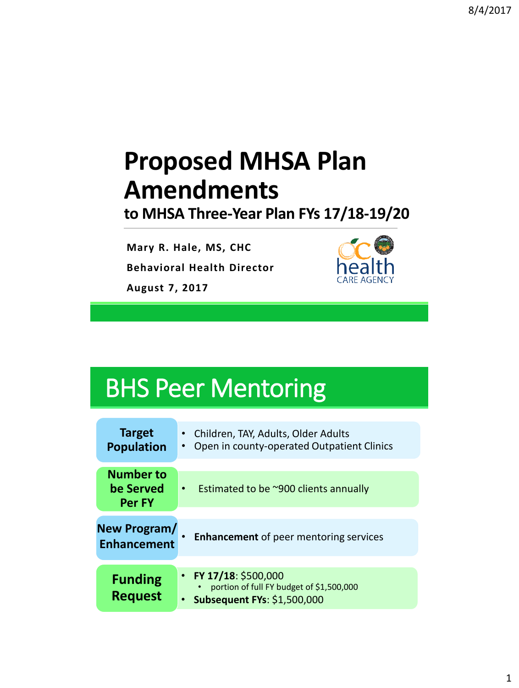## **Proposed MHSA Plan Amendments**

**to MHSA Three-Year Plan FYs 17/18-19/20**

**Mary R. Hale, MS, CHC Behavioral Health Director August 7, 2017**



## BHS Peer Mentoring

| <b>Target</b><br><b>Population</b>             | • Children, TAY, Adults, Older Adults<br>Open in county-operated Outpatient Clinics                                  |
|------------------------------------------------|----------------------------------------------------------------------------------------------------------------------|
| <b>Number to</b><br>be Served<br><b>Per FY</b> | Estimated to be ~900 clients annually<br>$\bullet$                                                                   |
| New Program/<br><b>Enhancement</b>             | <b>Enhancement</b> of peer mentoring services                                                                        |
| <b>Funding</b><br><b>Request</b>               | • FY 17/18: \$500,000<br>portion of full FY budget of \$1,500,000<br><b>Subsequent FYs: \$1,500,000</b><br>$\bullet$ |